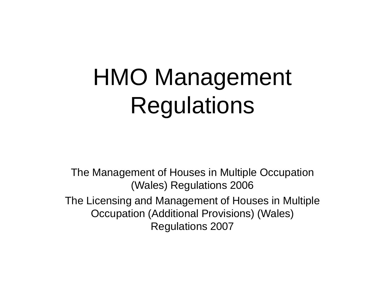## HMO Management Regulations

The Management of Houses in Multiple Occupation (Wales) Regulations 2006 The Licensing and Management of Houses in Multiple Occupation (Additional Provisions) (Wales) Regulations 2007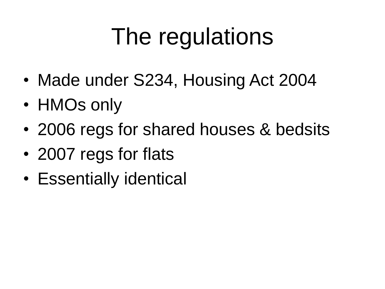# The regulations

- Made under S234, Housing Act 2004
- HMOs only
- 2006 regs for shared houses & bedsits
- 2007 regs for flats
- Essentially identical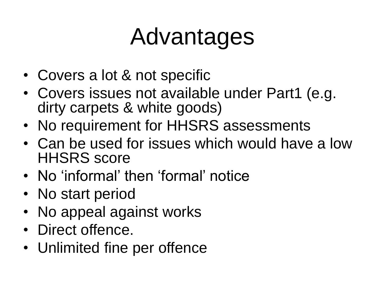## Advantages

- Covers a lot & not specific
- Covers issues not available under Part1 (e.g. dirty carpets & white goods)
- No requirement for HHSRS assessments
- Can be used for issues which would have a low HHSRS score
- No 'informal' then 'formal' notice
- No start period
- No appeal against works
- Direct offence.
- Unlimited fine per offence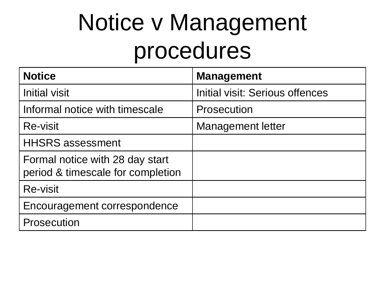## Notice v Management procedures

| <b>Notice</b>                                                        | <b>Management</b>               |
|----------------------------------------------------------------------|---------------------------------|
| <b>Initial visit</b>                                                 | Initial visit: Serious offences |
| Informal notice with timescale                                       | Prosecution                     |
| <b>Re-visit</b>                                                      | <b>Management letter</b>        |
| <b>HHSRS</b> assessment                                              |                                 |
| Formal notice with 28 day start<br>period & timescale for completion |                                 |
| <b>Re-visit</b>                                                      |                                 |
| Encouragement correspondence                                         |                                 |
| Prosecution                                                          |                                 |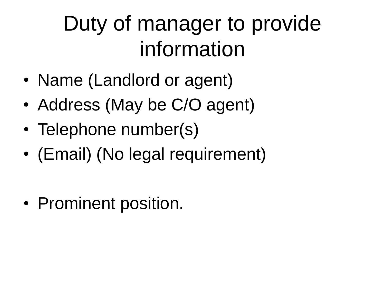#### Duty of manager to provide information

- Name (Landlord or agent)
- Address (May be C/O agent)
- Telephone number(s)
- (Email) (No legal requirement)
- Prominent position.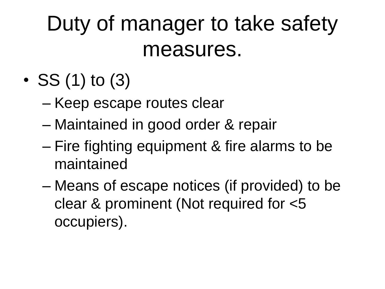#### Duty of manager to take safety measures.

- SS  $(1)$  to  $(3)$ 
	- Keep escape routes clear
	- Maintained in good order & repair
	- Fire fighting equipment & fire alarms to be maintained
	- Means of escape notices (if provided) to be clear & prominent (Not required for <5 occupiers).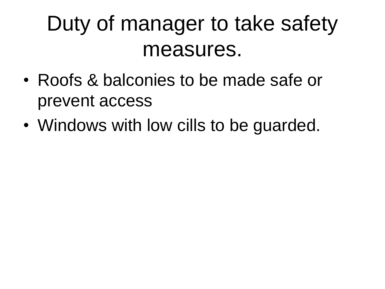#### Duty of manager to take safety measures.

- Roofs & balconies to be made safe or prevent access
- Windows with low cills to be guarded.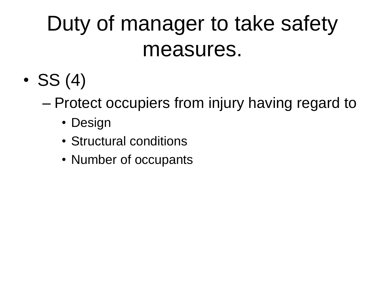#### Duty of manager to take safety measures.

- $\bullet$  SS (4)
	- Protect occupiers from injury having regard to
		- Design
		- Structural conditions
		- Number of occupants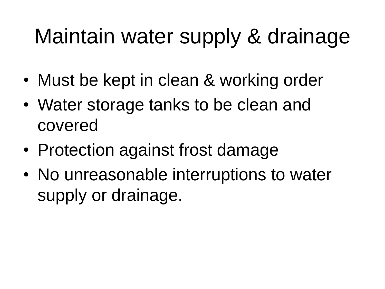#### Maintain water supply & drainage

- Must be kept in clean & working order
- Water storage tanks to be clean and covered
- Protection against frost damage
- No unreasonable interruptions to water supply or drainage.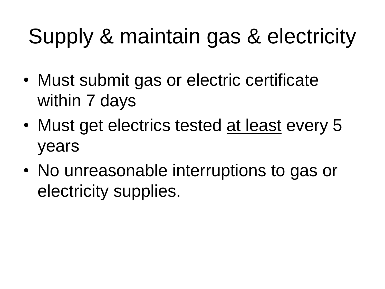### Supply & maintain gas & electricity

- Must submit gas or electric certificate within 7 days
- Must get electrics tested at least every 5 years
- No unreasonable interruptions to gas or electricity supplies.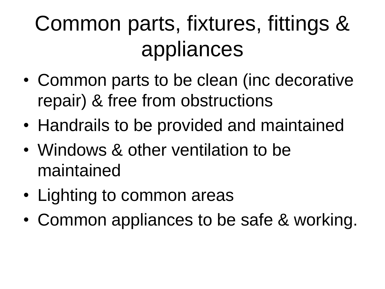### Common parts, fixtures, fittings & appliances

- Common parts to be clean (inc decorative repair) & free from obstructions
- Handrails to be provided and maintained
- Windows & other ventilation to be maintained
- Lighting to common areas
- Common appliances to be safe & working.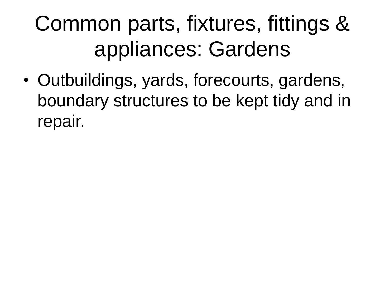### Common parts, fixtures, fittings & appliances: Gardens

• Outbuildings, yards, forecourts, gardens, boundary structures to be kept tidy and in repair.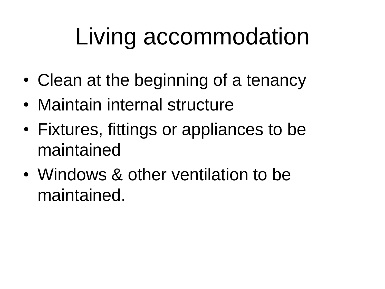# Living accommodation

- Clean at the beginning of a tenancy
- Maintain internal structure
- Fixtures, fittings or appliances to be maintained
- Windows & other ventilation to be maintained.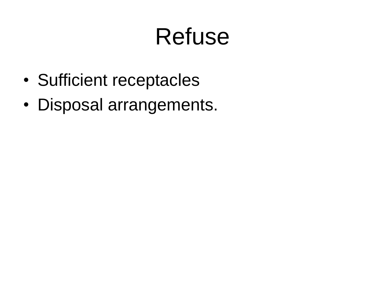### Refuse

- Sufficient receptacles
- Disposal arrangements.